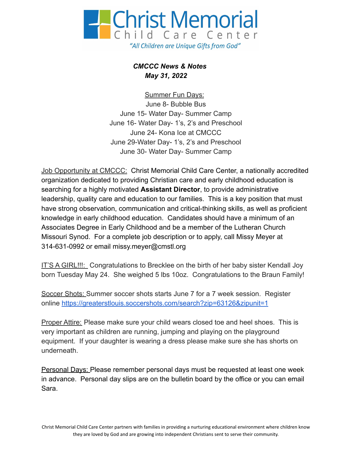

*CMCCC News & Notes May 31, 2022*

Summer Fun Days: June 8- Bubble Bus June 15- Water Day- Summer Camp June 16- Water Day- 1's, 2's and Preschool June 24- Kona Ice at CMCCC June 29-Water Day- 1's, 2's and Preschool June 30- Water Day- Summer Camp

Job Opportunity at CMCCC: Christ Memorial Child Care Center, a nationally accredited organization dedicated to providing Christian care and early childhood education is searching for a highly motivated **Assistant Director**, to provide administrative leadership, quality care and education to our families. This is a key position that must have strong observation, communication and critical-thinking skills, as well as proficient knowledge in early childhood education. Candidates should have a minimum of an Associates Degree in Early Childhood and be a member of the Lutheran Church Missouri Synod. For a complete job description or to apply, call Missy Meyer at 314-631-0992 or email missy.meyer@cmstl.org

IT'S A GIRL!!!: Congratulations to Brecklee on the birth of her baby sister Kendall Joy born Tuesday May 24. She weighed 5 lbs 10oz. Congratulations to the Braun Family!

Soccer Shots: Summer soccer shots starts June 7 for a 7 week session. Register online <https://greaterstlouis.soccershots.com/search?zip=63126&zipunit=1>

Proper Attire: Please make sure your child wears closed toe and heel shoes. This is very important as children are running, jumping and playing on the playground equipment. If your daughter is wearing a dress please make sure she has shorts on underneath.

Personal Days: Please remember personal days must be requested at least one week in advance. Personal day slips are on the bulletin board by the office or you can email Sara.